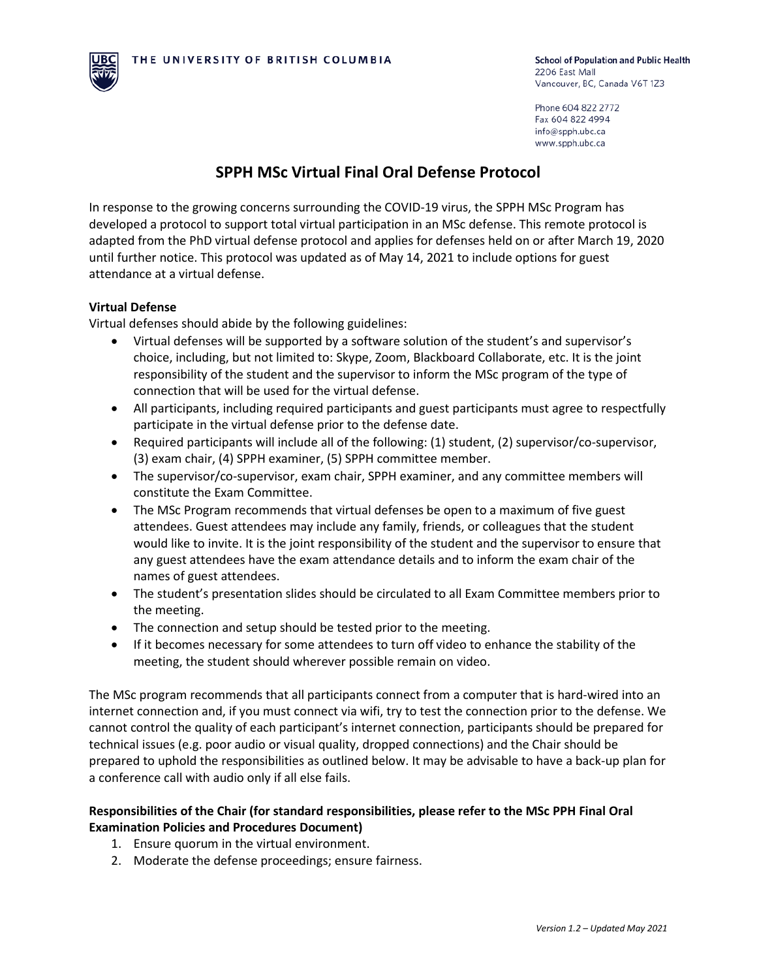

Phone 604 822 2772 Fax 604 822 4994 info@spph.ubc.ca www.spph.ubc.ca

## **SPPH MSc Virtual Final Oral Defense Protocol**

In response to the growing concerns surrounding the COVID-19 virus, the SPPH MSc Program has developed a protocol to support total virtual participation in an MSc defense. This remote protocol is adapted from the PhD virtual defense protocol and applies for defenses held on or after March 19, 2020 until further notice. This protocol was updated as of May 14, 2021 to include options for guest attendance at a virtual defense.

## **Virtual Defense**

Virtual defenses should abide by the following guidelines:

- Virtual defenses will be supported by a software solution of the student's and supervisor's choice, including, but not limited to: Skype, Zoom, Blackboard Collaborate, etc. It is the joint responsibility of the student and the supervisor to inform the MSc program of the type of connection that will be used for the virtual defense.
- All participants, including required participants and guest participants must agree to respectfully participate in the virtual defense prior to the defense date.
- Required participants will include all of the following: (1) student, (2) supervisor/co-supervisor, (3) exam chair, (4) SPPH examiner, (5) SPPH committee member.
- The supervisor/co-supervisor, exam chair, SPPH examiner, and any committee members will constitute the Exam Committee.
- The MSc Program recommends that virtual defenses be open to a maximum of five guest attendees. Guest attendees may include any family, friends, or colleagues that the student would like to invite. It is the joint responsibility of the student and the supervisor to ensure that any guest attendees have the exam attendance details and to inform the exam chair of the names of guest attendees.
- The student's presentation slides should be circulated to all Exam Committee members prior to the meeting.
- The connection and setup should be tested prior to the meeting.
- If it becomes necessary for some attendees to turn off video to enhance the stability of the meeting, the student should wherever possible remain on video.

The MSc program recommends that all participants connect from a computer that is hard-wired into an internet connection and, if you must connect via wifi, try to test the connection prior to the defense. We cannot control the quality of each participant's internet connection, participants should be prepared for technical issues (e.g. poor audio or visual quality, dropped connections) and the Chair should be prepared to uphold the responsibilities as outlined below. It may be advisable to have a back-up plan for a conference call with audio only if all else fails.

## **Responsibilities of the Chair (for standard responsibilities, please refer to the MSc PPH Final Oral Examination Policies and Procedures Document)**

- 1. Ensure quorum in the virtual environment.
- 2. Moderate the defense proceedings; ensure fairness.